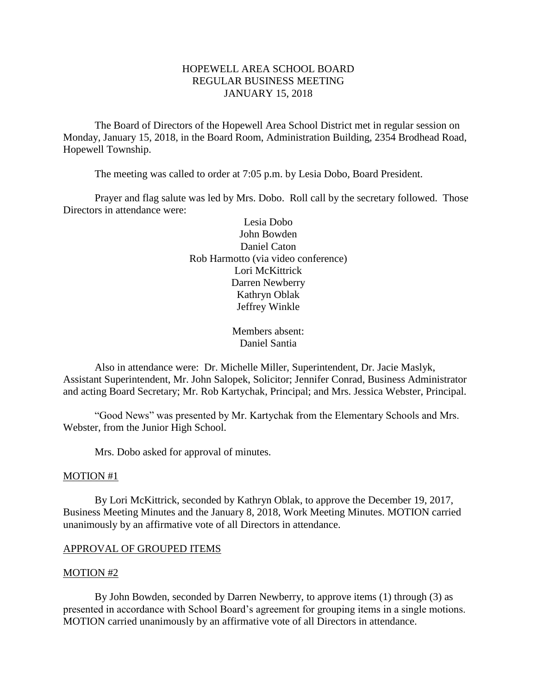# HOPEWELL AREA SCHOOL BOARD REGULAR BUSINESS MEETING JANUARY 15, 2018

The Board of Directors of the Hopewell Area School District met in regular session on Monday, January 15, 2018, in the Board Room, Administration Building, 2354 Brodhead Road, Hopewell Township.

The meeting was called to order at 7:05 p.m. by Lesia Dobo, Board President.

Prayer and flag salute was led by Mrs. Dobo. Roll call by the secretary followed. Those Directors in attendance were:

> Lesia Dobo John Bowden Daniel Caton Rob Harmotto (via video conference) Lori McKittrick Darren Newberry Kathryn Oblak Jeffrey Winkle

> > Members absent: Daniel Santia

Also in attendance were: Dr. Michelle Miller, Superintendent, Dr. Jacie Maslyk, Assistant Superintendent, Mr. John Salopek, Solicitor; Jennifer Conrad, Business Administrator and acting Board Secretary; Mr. Rob Kartychak, Principal; and Mrs. Jessica Webster, Principal.

"Good News" was presented by Mr. Kartychak from the Elementary Schools and Mrs. Webster, from the Junior High School.

Mrs. Dobo asked for approval of minutes.

### MOTION #1

By Lori McKittrick, seconded by Kathryn Oblak, to approve the December 19, 2017, Business Meeting Minutes and the January 8, 2018, Work Meeting Minutes. MOTION carried unanimously by an affirmative vote of all Directors in attendance.

### APPROVAL OF GROUPED ITEMS

#### MOTION #2

By John Bowden, seconded by Darren Newberry, to approve items (1) through (3) as presented in accordance with School Board's agreement for grouping items in a single motions. MOTION carried unanimously by an affirmative vote of all Directors in attendance.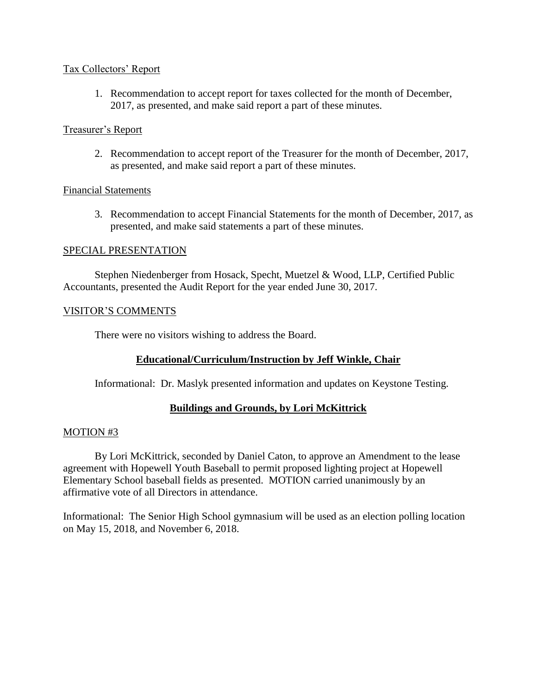### Tax Collectors' Report

1. Recommendation to accept report for taxes collected for the month of December, 2017, as presented, and make said report a part of these minutes.

# Treasurer's Report

2. Recommendation to accept report of the Treasurer for the month of December, 2017, as presented, and make said report a part of these minutes.

# Financial Statements

3. Recommendation to accept Financial Statements for the month of December, 2017, as presented, and make said statements a part of these minutes.

# SPECIAL PRESENTATION

Stephen Niedenberger from Hosack, Specht, Muetzel & Wood, LLP, Certified Public Accountants, presented the Audit Report for the year ended June 30, 2017.

# VISITOR'S COMMENTS

There were no visitors wishing to address the Board.

# **Educational/Curriculum/Instruction by Jeff Winkle, Chair**

Informational: Dr. Maslyk presented information and updates on Keystone Testing.

# **Buildings and Grounds, by Lori McKittrick**

# MOTION #3

By Lori McKittrick, seconded by Daniel Caton, to approve an Amendment to the lease agreement with Hopewell Youth Baseball to permit proposed lighting project at Hopewell Elementary School baseball fields as presented. MOTION carried unanimously by an affirmative vote of all Directors in attendance.

Informational: The Senior High School gymnasium will be used as an election polling location on May 15, 2018, and November 6, 2018.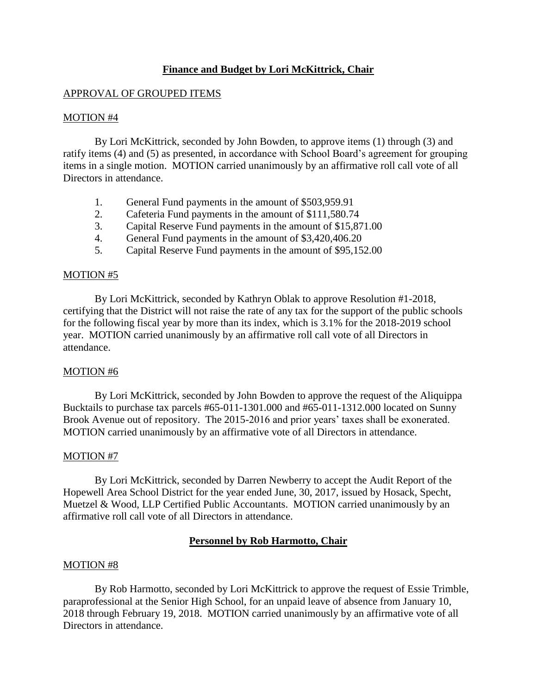# **Finance and Budget by Lori McKittrick, Chair**

### APPROVAL OF GROUPED ITEMS

### MOTION #4

By Lori McKittrick, seconded by John Bowden, to approve items (1) through (3) and ratify items (4) and (5) as presented, in accordance with School Board's agreement for grouping items in a single motion. MOTION carried unanimously by an affirmative roll call vote of all Directors in attendance.

- 1. General Fund payments in the amount of \$503,959.91
- 2. Cafeteria Fund payments in the amount of \$111,580.74
- 3. Capital Reserve Fund payments in the amount of \$15,871.00
- 4. General Fund payments in the amount of \$3,420,406.20
- 5. Capital Reserve Fund payments in the amount of \$95,152.00

### MOTION #5

By Lori McKittrick, seconded by Kathryn Oblak to approve Resolution #1-2018, certifying that the District will not raise the rate of any tax for the support of the public schools for the following fiscal year by more than its index, which is 3.1% for the 2018-2019 school year. MOTION carried unanimously by an affirmative roll call vote of all Directors in attendance.

# MOTION #6

By Lori McKittrick, seconded by John Bowden to approve the request of the Aliquippa Bucktails to purchase tax parcels #65-011-1301.000 and #65-011-1312.000 located on Sunny Brook Avenue out of repository. The 2015-2016 and prior years' taxes shall be exonerated. MOTION carried unanimously by an affirmative vote of all Directors in attendance.

### MOTION #7

By Lori McKittrick, seconded by Darren Newberry to accept the Audit Report of the Hopewell Area School District for the year ended June, 30, 2017, issued by Hosack, Specht, Muetzel & Wood, LLP Certified Public Accountants. MOTION carried unanimously by an affirmative roll call vote of all Directors in attendance.

### **Personnel by Rob Harmotto, Chair**

### MOTION #8

By Rob Harmotto, seconded by Lori McKittrick to approve the request of Essie Trimble, paraprofessional at the Senior High School, for an unpaid leave of absence from January 10, 2018 through February 19, 2018. MOTION carried unanimously by an affirmative vote of all Directors in attendance.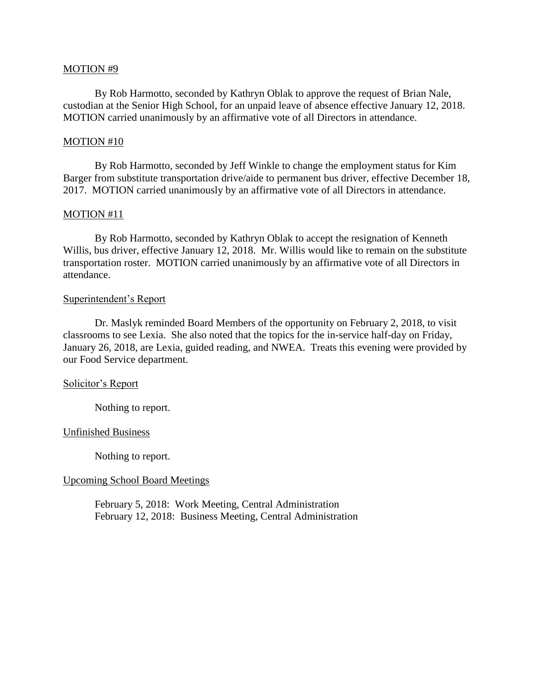### MOTION #9

By Rob Harmotto, seconded by Kathryn Oblak to approve the request of Brian Nale, custodian at the Senior High School, for an unpaid leave of absence effective January 12, 2018. MOTION carried unanimously by an affirmative vote of all Directors in attendance.

#### MOTION #10

By Rob Harmotto, seconded by Jeff Winkle to change the employment status for Kim Barger from substitute transportation drive/aide to permanent bus driver, effective December 18, 2017. MOTION carried unanimously by an affirmative vote of all Directors in attendance.

#### MOTION #11

By Rob Harmotto, seconded by Kathryn Oblak to accept the resignation of Kenneth Willis, bus driver, effective January 12, 2018. Mr. Willis would like to remain on the substitute transportation roster. MOTION carried unanimously by an affirmative vote of all Directors in attendance.

#### Superintendent's Report

Dr. Maslyk reminded Board Members of the opportunity on February 2, 2018, to visit classrooms to see Lexia. She also noted that the topics for the in-service half-day on Friday, January 26, 2018, are Lexia, guided reading, and NWEA. Treats this evening were provided by our Food Service department.

### Solicitor's Report

Nothing to report.

#### Unfinished Business

Nothing to report.

### Upcoming School Board Meetings

February 5, 2018: Work Meeting, Central Administration February 12, 2018: Business Meeting, Central Administration